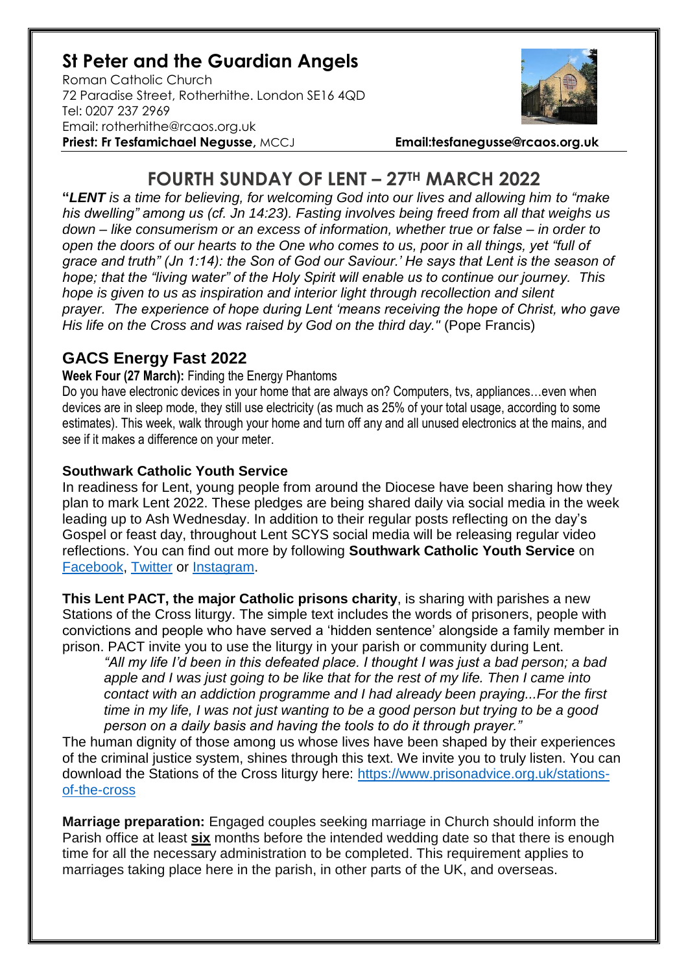## **St Peter and the Guardian Angels**

Roman Catholic Church 72 Paradise Street, Rotherhithe. London SE16 4QD [Tel: 0207](tel:0207) 237 2969 Email: rotherhithe@rcaos.org.uk **Priest: Fr Tesfamichael Negusse,** MCCJ **Email:tesfanegusse@rcaos.org.uk**



# **FOURTH SUNDAY OF LENT – 27TH MARCH 2022**

**"***LENT is a time for believing, for welcoming God into our lives and allowing him to "make his dwelling" among us (cf. Jn 14:23). Fasting involves being freed from all that weighs us down – like consumerism or an excess of information, whether true or false – in order to open the doors of our hearts to the One who comes to us, poor in all things, yet "full of grace and truth" (Jn 1:14): the Son of God our Saviour.' He says that Lent is the season of hope; that the "living water" of the Holy Spirit will enable us to continue our journey. This hope is given to us as inspiration and interior light through recollection and silent prayer. The experience of hope during Lent 'means receiving the hope of Christ, who gave His life on the Cross and was raised by God on the third day."* (Pope Francis)

## **GACS Energy Fast 2022**

#### **Week Four (27 March):** Finding the Energy Phantoms

Do you have electronic devices in your home that are always on? Computers, tvs, appliances…even when devices are in sleep mode, they still use electricity (as much as 25% of your total usage, according to some estimates). This week, walk through your home and turn off any and all unused electronics at the mains, and see if it makes a difference on your meter.

### **Southwark Catholic Youth Service**

In readiness for Lent, young people from around the Diocese have been sharing how they plan to mark Lent 2022. These pledges are being shared daily via social media in the week leading up to Ash Wednesday. In addition to their regular posts reflecting on the day's Gospel or feast day, throughout Lent SCYS social media will be releasing regular video reflections. You can find out more by following **Southwark Catholic Youth Service** on [Facebook,](https://www.facebook.com/scys.uk) [Twitter](https://twitter.com/SCYS1) or [Instagram.](https://www.instagram.com/scys1/)

**This Lent PACT, the major Catholic prisons charity**, is sharing with parishes a new Stations of the Cross liturgy. The simple text includes the words of prisoners, people with convictions and people who have served a 'hidden sentence' alongside a family member in prison. PACT invite you to use the liturgy in your parish or community during Lent.

*"All my life I'd been in this defeated place. I thought I was just a bad person; a bad apple and I was just going to be like that for the rest of my life. Then I came into contact with an addiction programme and I had already been praying...For the first time in my life, I was not just wanting to be a good person but trying to be a good person on a daily basis and having the tools to do it through prayer."*

The human dignity of those among us whose lives have been shaped by their experiences of the criminal justice system, shines through this text. We invite you to truly listen. You can download the Stations of the Cross liturgy here: [https://www.prisonadvice.org.uk/stations](https://www.prisonadvice.org.uk/stations-of-the-cross)[of-the-cross](https://www.prisonadvice.org.uk/stations-of-the-cross)

**Marriage preparation:** Engaged couples seeking marriage in Church should inform the Parish office at least **six** months before the intended wedding date so that there is enough time for all the necessary administration to be completed. This requirement applies to marriages taking place here in the parish, in other parts of the UK, and overseas.